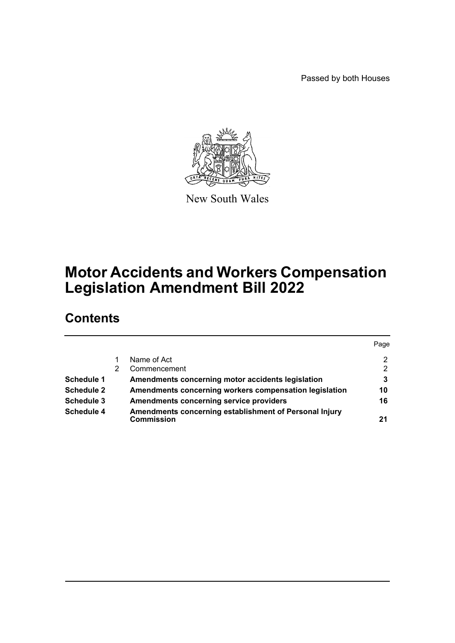Passed by both Houses



New South Wales

# **Motor Accidents and Workers Compensation Legislation Amendment Bill 2022**

# **Contents**

|                   |                                                                             | Page           |
|-------------------|-----------------------------------------------------------------------------|----------------|
|                   | Name of Act                                                                 | 2              |
|                   | Commencement                                                                | $\overline{2}$ |
| Schedule 1        | Amendments concerning motor accidents legislation                           | 3              |
| <b>Schedule 2</b> | Amendments concerning workers compensation legislation                      | 10             |
| Schedule 3        | <b>Amendments concerning service providers</b>                              | 16             |
| Schedule 4        | Amendments concerning establishment of Personal Injury<br><b>Commission</b> | 21             |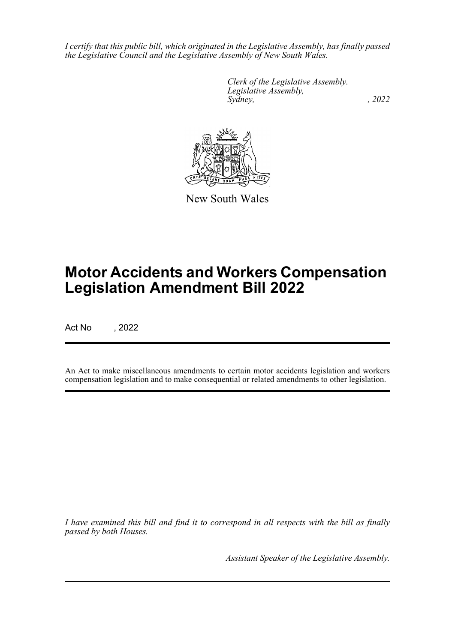*I certify that this public bill, which originated in the Legislative Assembly, has finally passed the Legislative Council and the Legislative Assembly of New South Wales.*

> *Clerk of the Legislative Assembly. Legislative Assembly, Sydney, , 2022*



New South Wales

# **Motor Accidents and Workers Compensation Legislation Amendment Bill 2022**

Act No , 2022

An Act to make miscellaneous amendments to certain motor accidents legislation and workers compensation legislation and to make consequential or related amendments to other legislation.

*I have examined this bill and find it to correspond in all respects with the bill as finally passed by both Houses.*

*Assistant Speaker of the Legislative Assembly.*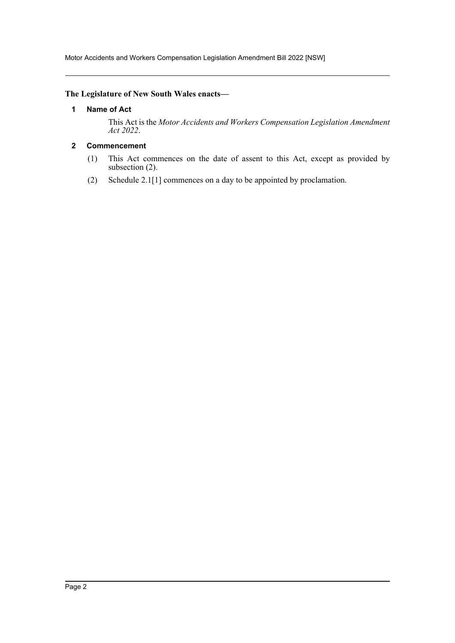Motor Accidents and Workers Compensation Legislation Amendment Bill 2022 [NSW]

### <span id="page-2-0"></span>**The Legislature of New South Wales enacts—**

#### **1 Name of Act**

This Act is the *Motor Accidents and Workers Compensation Legislation Amendment Act 2022*.

# <span id="page-2-1"></span>**2 Commencement**

- (1) This Act commences on the date of assent to this Act, except as provided by subsection (2).
- (2) Schedule 2.1[1] commences on a day to be appointed by proclamation.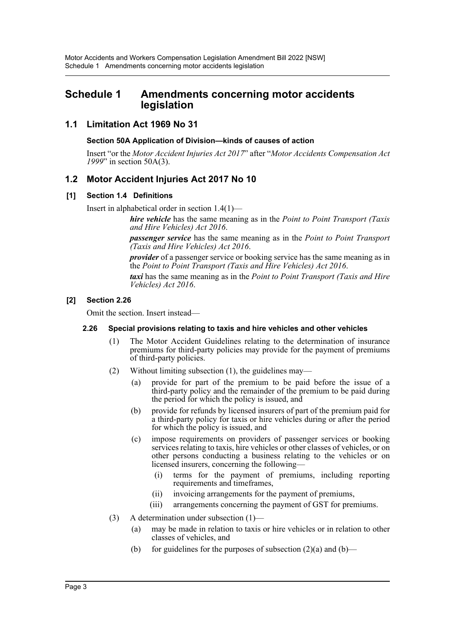# <span id="page-3-0"></span>**Schedule 1 Amendments concerning motor accidents legislation**

# **1.1 Limitation Act 1969 No 31**

### **Section 50A Application of Division—kinds of causes of action**

Insert "or the *Motor Accident Injuries Act 2017*" after "*Motor Accidents Compensation Act 1999*" in section 50A(3).

# **1.2 Motor Accident Injuries Act 2017 No 10**

#### **[1] Section 1.4 Definitions**

Insert in alphabetical order in section 1.4(1)—

*hire vehicle* has the same meaning as in the *Point to Point Transport (Taxis and Hire Vehicles) Act 2016*.

*passenger service* has the same meaning as in the *Point to Point Transport (Taxis and Hire Vehicles) Act 2016*.

*provider* of a passenger service or booking service has the same meaning as in the *Point to Point Transport (Taxis and Hire Vehicles) Act 2016*.

*taxi* has the same meaning as in the *Point to Point Transport (Taxis and Hire Vehicles) Act 2016*.

#### **[2] Section 2.26**

Omit the section. Insert instead—

#### **2.26 Special provisions relating to taxis and hire vehicles and other vehicles**

- (1) The Motor Accident Guidelines relating to the determination of insurance premiums for third-party policies may provide for the payment of premiums of third-party policies.
- (2) Without limiting subsection (1), the guidelines may—
	- (a) provide for part of the premium to be paid before the issue of a third-party policy and the remainder of the premium to be paid during the period for which the policy is issued, and
	- (b) provide for refunds by licensed insurers of part of the premium paid for a third-party policy for taxis or hire vehicles during or after the period for which the policy is issued, and
	- (c) impose requirements on providers of passenger services or booking services relating to taxis, hire vehicles or other classes of vehicles, or on other persons conducting a business relating to the vehicles or on licensed insurers, concerning the following—
		- (i) terms for the payment of premiums, including reporting requirements and timeframes,
		- (ii) invoicing arrangements for the payment of premiums,
		- (iii) arrangements concerning the payment of GST for premiums.
- (3) A determination under subsection (1)—
	- (a) may be made in relation to taxis or hire vehicles or in relation to other classes of vehicles, and
	- (b) for guidelines for the purposes of subsection  $(2)(a)$  and  $(b)$ —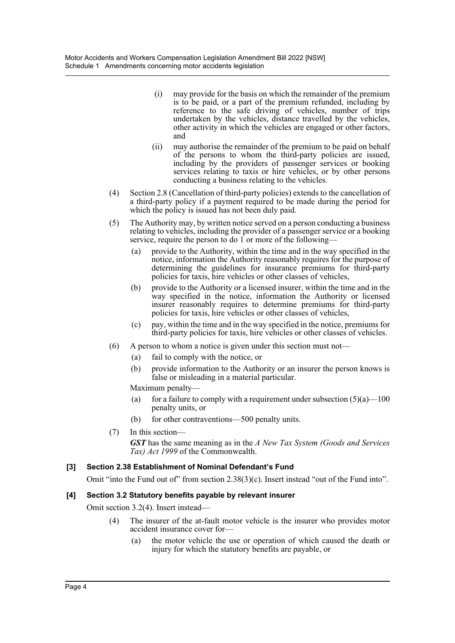- (i) may provide for the basis on which the remainder of the premium is to be paid, or a part of the premium refunded, including by reference to the safe driving of vehicles, number of trips undertaken by the vehicles, distance travelled by the vehicles, other activity in which the vehicles are engaged or other factors, and
- (ii) may authorise the remainder of the premium to be paid on behalf of the persons to whom the third-party policies are issued, including by the providers of passenger services or booking services relating to taxis or hire vehicles, or by other persons conducting a business relating to the vehicles.
- (4) Section 2.8 (Cancellation of third-party policies) extends to the cancellation of a third-party policy if a payment required to be made during the period for which the policy is issued has not been duly paid.
- (5) The Authority may, by written notice served on a person conducting a business relating to vehicles, including the provider of a passenger service or a booking service, require the person to do 1 or more of the following-
	- (a) provide to the Authority, within the time and in the way specified in the notice, information the Authority reasonably requires for the purpose of determining the guidelines for insurance premiums for third-party policies for taxis, hire vehicles or other classes of vehicles,
	- (b) provide to the Authority or a licensed insurer, within the time and in the way specified in the notice, information the Authority or licensed insurer reasonably requires to determine premiums for third-party policies for taxis, hire vehicles or other classes of vehicles,
	- (c) pay, within the time and in the way specified in the notice, premiums for third-party policies for taxis, hire vehicles or other classes of vehicles.
- (6) A person to whom a notice is given under this section must not—
	- (a) fail to comply with the notice, or
	- (b) provide information to the Authority or an insurer the person knows is false or misleading in a material particular.
	- Maximum penalty—
	- (a) for a failure to comply with a requirement under subsection  $(5)(a)$ —100 penalty units, or
	- (b) for other contraventions—500 penalty units.
- (7) In this section— *GST* has the same meaning as in the *A New Tax System (Goods and Services Tax) Act 1999* of the Commonwealth.

# **[3] Section 2.38 Establishment of Nominal Defendant's Fund**

Omit "into the Fund out of" from section 2.38(3)(c). Insert instead "out of the Fund into".

# **[4] Section 3.2 Statutory benefits payable by relevant insurer**

Omit section 3.2(4). Insert instead—

- (4) The insurer of the at-fault motor vehicle is the insurer who provides motor accident insurance cover for—
	- (a) the motor vehicle the use or operation of which caused the death or injury for which the statutory benefits are payable, or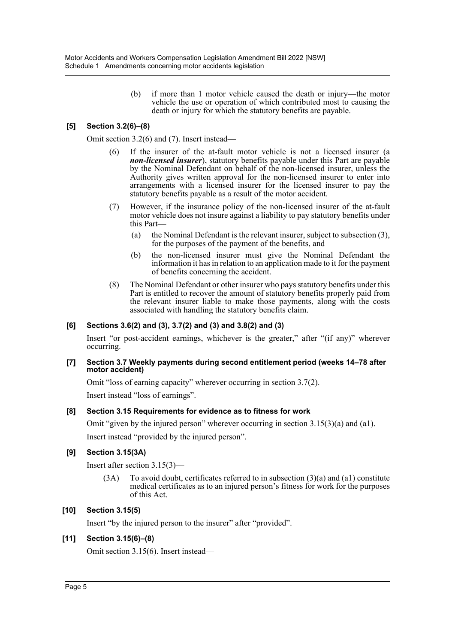(b) if more than 1 motor vehicle caused the death or injury—the motor vehicle the use or operation of which contributed most to causing the death or injury for which the statutory benefits are payable.

# **[5] Section 3.2(6)–(8)**

Omit section 3.2(6) and (7). Insert instead—

- (6) If the insurer of the at-fault motor vehicle is not a licensed insurer (a *non-licensed insurer*), statutory benefits payable under this Part are payable by the Nominal Defendant on behalf of the non-licensed insurer, unless the Authority gives written approval for the non-licensed insurer to enter into arrangements with a licensed insurer for the licensed insurer to pay the statutory benefits payable as a result of the motor accident.
- (7) However, if the insurance policy of the non-licensed insurer of the at-fault motor vehicle does not insure against a liability to pay statutory benefits under this Part—
	- (a) the Nominal Defendant is the relevant insurer, subject to subsection (3), for the purposes of the payment of the benefits, and
	- (b) the non-licensed insurer must give the Nominal Defendant the information it has in relation to an application made to it for the payment of benefits concerning the accident.
- (8) The Nominal Defendant or other insurer who pays statutory benefits under this Part is entitled to recover the amount of statutory benefits properly paid from the relevant insurer liable to make those payments, along with the costs associated with handling the statutory benefits claim.

# **[6] Sections 3.6(2) and (3), 3.7(2) and (3) and 3.8(2) and (3)**

Insert "or post-accident earnings, whichever is the greater," after "(if any)" wherever occurring.

#### **[7] Section 3.7 Weekly payments during second entitlement period (weeks 14–78 after motor accident)**

Omit "loss of earning capacity" wherever occurring in section 3.7(2). Insert instead "loss of earnings".

# **[8] Section 3.15 Requirements for evidence as to fitness for work**

Omit "given by the injured person" wherever occurring in section 3.15(3)(a) and (a1). Insert instead "provided by the injured person".

# **[9] Section 3.15(3A)**

Insert after section 3.15(3)—

 $(3A)$  To avoid doubt, certificates referred to in subsection  $(3)(a)$  and  $(a1)$  constitute medical certificates as to an injured person's fitness for work for the purposes of this Act.

# **[10] Section 3.15(5)**

Insert "by the injured person to the insurer" after "provided".

# **[11] Section 3.15(6)–(8)**

Omit section 3.15(6). Insert instead—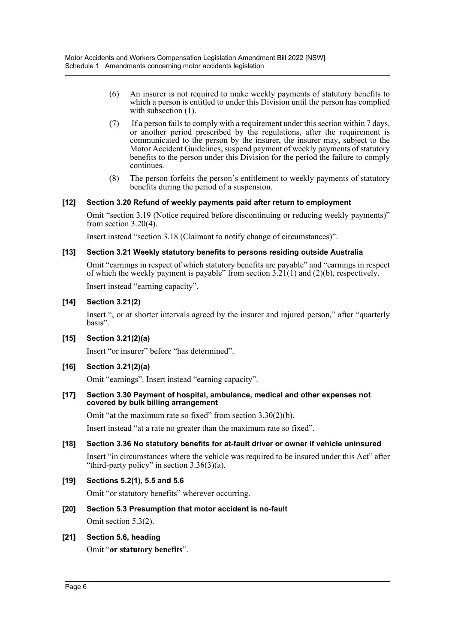- (6) An insurer is not required to make weekly payments of statutory benefits to which a person is entitled to under this Division until the person has complied with subsection  $(1)$ .
- (7) If a person fails to comply with a requirement under this section within 7 days, or another period prescribed by the regulations, after the requirement is communicated to the person by the insurer, the insurer may, subject to the Motor Accident Guidelines, suspend payment of weekly payments of statutory benefits to the person under this Division for the period the failure to comply continues.
- (8) The person forfeits the person's entitlement to weekly payments of statutory benefits during the period of a suspension.

#### **[12] Section 3.20 Refund of weekly payments paid after return to employment**

Omit "section 3.19 (Notice required before discontinuing or reducing weekly payments)" from section 3.20(4).

Insert instead "section 3.18 (Claimant to notify change of circumstances)".

#### **[13] Section 3.21 Weekly statutory benefits to persons residing outside Australia**

Omit "earnings in respect of which statutory benefits are payable" and "earnings in respect of which the weekly payment is payable" from section  $3.21(1)$  and (2)(b), respectively.

Insert instead "earning capacity".

#### **[14] Section 3.21(2)**

Insert ", or at shorter intervals agreed by the insurer and injured person," after "quarterly basis".

**[15] Section 3.21(2)(a)**

Insert "or insurer" before "has determined".

# **[16] Section 3.21(2)(a)**

Omit "earnings". Insert instead "earning capacity".

**[17] Section 3.30 Payment of hospital, ambulance, medical and other expenses not covered by bulk billing arrangement**

Omit "at the maximum rate so fixed" from section 3.30(2)(b).

Insert instead "at a rate no greater than the maximum rate so fixed".

**[18] Section 3.36 No statutory benefits for at-fault driver or owner if vehicle uninsured**

Insert "in circumstances where the vehicle was required to be insured under this Act" after "third-party policy" in section  $3.36(3)(a)$ .

# **[19] Sections 5.2(1), 5.5 and 5.6**

Omit "or statutory benefits" wherever occurring.

# **[20] Section 5.3 Presumption that motor accident is no-fault**

Omit section 5.3(2).

# **[21] Section 5.6, heading**

Omit "**or statutory benefits**".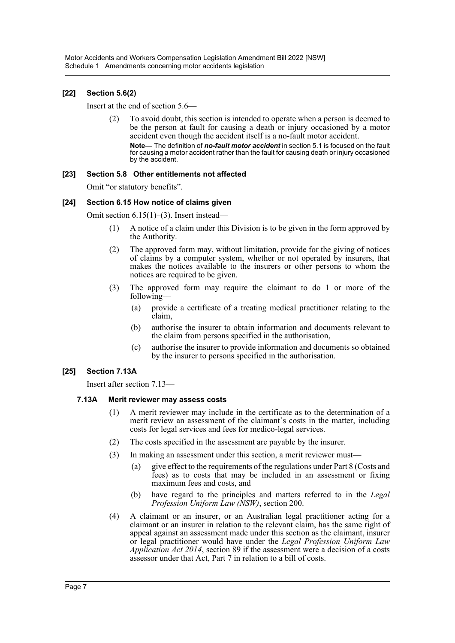# **[22] Section 5.6(2)**

Insert at the end of section 5.6—

(2) To avoid doubt, this section is intended to operate when a person is deemed to be the person at fault for causing a death or injury occasioned by a motor accident even though the accident itself is a no-fault motor accident.

**Note—** The definition of *no-fault motor accident* in section 5.1 is focused on the fault for causing a motor accident rather than the fault for causing death or injury occasioned by the accident.

#### **[23] Section 5.8 Other entitlements not affected**

Omit "or statutory benefits".

#### **[24] Section 6.15 How notice of claims given**

Omit section 6.15(1)–(3). Insert instead—

- (1) A notice of a claim under this Division is to be given in the form approved by the Authority.
- (2) The approved form may, without limitation, provide for the giving of notices of claims by a computer system, whether or not operated by insurers, that makes the notices available to the insurers or other persons to whom the notices are required to be given.
- (3) The approved form may require the claimant to do 1 or more of the following—
	- (a) provide a certificate of a treating medical practitioner relating to the claim,
	- (b) authorise the insurer to obtain information and documents relevant to the claim from persons specified in the authorisation,
	- (c) authorise the insurer to provide information and documents so obtained by the insurer to persons specified in the authorisation.

#### **[25] Section 7.13A**

Insert after section 7.13—

#### **7.13A Merit reviewer may assess costs**

- (1) A merit reviewer may include in the certificate as to the determination of a merit review an assessment of the claimant's costs in the matter, including costs for legal services and fees for medico-legal services.
- (2) The costs specified in the assessment are payable by the insurer.
- (3) In making an assessment under this section, a merit reviewer must—
	- (a) give effect to the requirements of the regulations under Part 8 (Costs and fees) as to costs that may be included in an assessment or fixing maximum fees and costs, and
	- (b) have regard to the principles and matters referred to in the *Legal Profession Uniform Law (NSW)*, section 200.
- (4) A claimant or an insurer, or an Australian legal practitioner acting for a claimant or an insurer in relation to the relevant claim, has the same right of appeal against an assessment made under this section as the claimant, insurer or legal practitioner would have under the *Legal Profession Uniform Law Application Act 2014*, section 89 if the assessment were a decision of a costs assessor under that Act, Part 7 in relation to a bill of costs.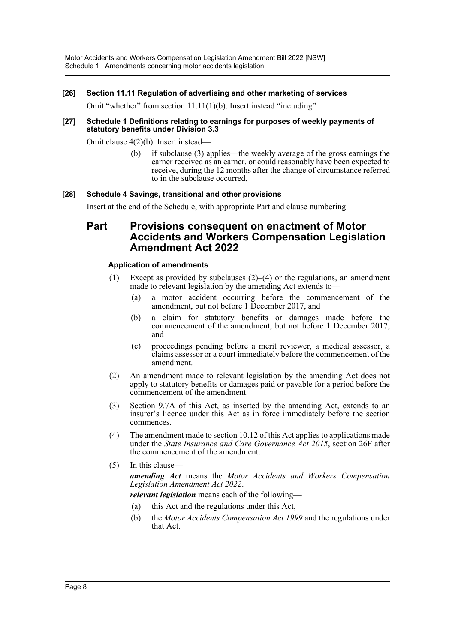#### **[26] Section 11.11 Regulation of advertising and other marketing of services**

Omit "whether" from section 11.11(1)(b). Insert instead "including"

#### **[27] Schedule 1 Definitions relating to earnings for purposes of weekly payments of statutory benefits under Division 3.3**

Omit clause 4(2)(b). Insert instead—

(b) if subclause (3) applies—the weekly average of the gross earnings the earner received as an earner, or could reasonably have been expected to receive, during the 12 months after the change of circumstance referred to in the subclause occurred,

#### **[28] Schedule 4 Savings, transitional and other provisions**

Insert at the end of the Schedule, with appropriate Part and clause numbering—

# **Part Provisions consequent on enactment of Motor Accidents and Workers Compensation Legislation Amendment Act 2022**

#### **Application of amendments**

- (1) Except as provided by subclauses  $(2)$ – $(4)$  or the regulations, an amendment made to relevant legislation by the amending Act extends to—
	- (a) a motor accident occurring before the commencement of the amendment, but not before 1 December 2017, and
	- (b) a claim for statutory benefits or damages made before the commencement of the amendment, but not before 1 December 2017, and
	- (c) proceedings pending before a merit reviewer, a medical assessor, a claims assessor or a court immediately before the commencement of the amendment.
- (2) An amendment made to relevant legislation by the amending Act does not apply to statutory benefits or damages paid or payable for a period before the commencement of the amendment.
- (3) Section 9.7A of this Act, as inserted by the amending Act, extends to an insurer's licence under this Act as in force immediately before the section commences.
- (4) The amendment made to section 10.12 of this Act applies to applications made under the *State Insurance and Care Governance Act 2015*, section 26F after the commencement of the amendment.
- (5) In this clause—

*amending Act* means the *Motor Accidents and Workers Compensation Legislation Amendment Act 2022*.

*relevant legislation* means each of the following—

- (a) this Act and the regulations under this Act,
- (b) the *Motor Accidents Compensation Act 1999* and the regulations under that Act.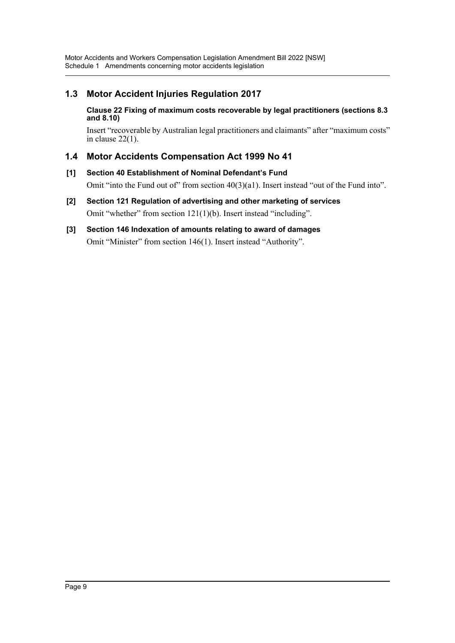# **1.3 Motor Accident Injuries Regulation 2017**

#### **Clause 22 Fixing of maximum costs recoverable by legal practitioners (sections 8.3 and 8.10)**

Insert "recoverable by Australian legal practitioners and claimants" after "maximum costs" in clause 22(1).

# **1.4 Motor Accidents Compensation Act 1999 No 41**

- **[1] Section 40 Establishment of Nominal Defendant's Fund** Omit "into the Fund out of" from section  $40(3)(a1)$ . Insert instead "out of the Fund into".
- **[2] Section 121 Regulation of advertising and other marketing of services** Omit "whether" from section 121(1)(b). Insert instead "including".
- **[3] Section 146 Indexation of amounts relating to award of damages** Omit "Minister" from section 146(1). Insert instead "Authority".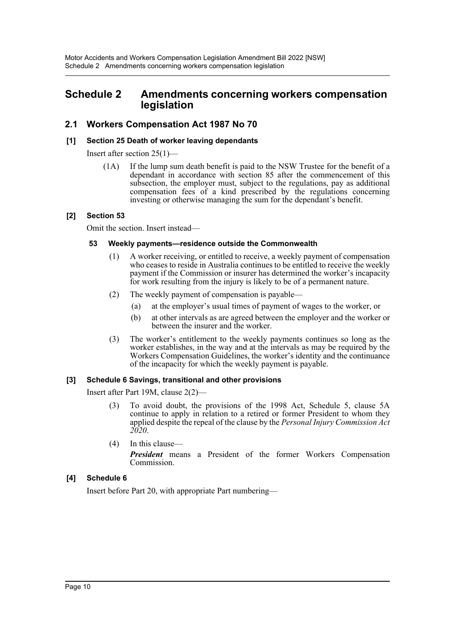# <span id="page-10-0"></span>**Schedule 2 Amendments concerning workers compensation legislation**

# **2.1 Workers Compensation Act 1987 No 70**

### **[1] Section 25 Death of worker leaving dependants**

Insert after section 25(1)—

(1A) If the lump sum death benefit is paid to the NSW Trustee for the benefit of a dependant in accordance with section 85 after the commencement of this subsection, the employer must, subject to the regulations, pay as additional compensation fees of a kind prescribed by the regulations concerning investing or otherwise managing the sum for the dependant's benefit.

#### **[2] Section 53**

Omit the section. Insert instead—

#### **53 Weekly payments—residence outside the Commonwealth**

- (1) A worker receiving, or entitled to receive, a weekly payment of compensation who ceases to reside in Australia continues to be entitled to receive the weekly payment if the Commission or insurer has determined the worker's incapacity for work resulting from the injury is likely to be of a permanent nature.
- (2) The weekly payment of compensation is payable—
	- (a) at the employer's usual times of payment of wages to the worker, or
	- (b) at other intervals as are agreed between the employer and the worker or between the insurer and the worker.
- (3) The worker's entitlement to the weekly payments continues so long as the worker establishes, in the way and at the intervals as may be required by the Workers Compensation Guidelines, the worker's identity and the continuance of the incapacity for which the weekly payment is payable.

#### **[3] Schedule 6 Savings, transitional and other provisions**

Insert after Part 19M, clause 2(2)—

- (3) To avoid doubt, the provisions of the 1998 Act, Schedule 5, clause 5A continue to apply in relation to a retired or former President to whom they applied despite the repeal of the clause by the *Personal Injury Commission Act 2020*.
- (4) In this clause— *President* means a President of the former Workers Compensation Commission.

# **[4] Schedule 6**

Insert before Part 20, with appropriate Part numbering—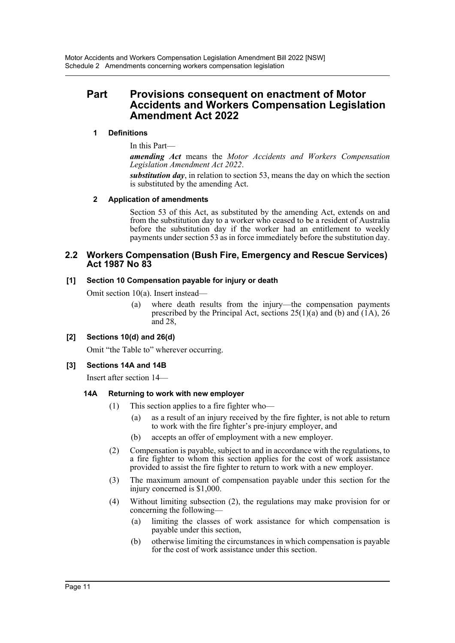# **Part Provisions consequent on enactment of Motor Accidents and Workers Compensation Legislation Amendment Act 2022**

# **1 Definitions**

In this Part—

*amending Act* means the *Motor Accidents and Workers Compensation Legislation Amendment Act 2022*.

*substitution day*, in relation to section 53, means the day on which the section is substituted by the amending Act.

#### **2 Application of amendments**

Section 53 of this Act, as substituted by the amending Act, extends on and from the substitution day to a worker who ceased to be a resident of Australia before the substitution day if the worker had an entitlement to weekly payments under section 53 as in force immediately before the substitution day.

#### **2.2 Workers Compensation (Bush Fire, Emergency and Rescue Services) Act 1987 No 83**

#### **[1] Section 10 Compensation payable for injury or death**

Omit section 10(a). Insert instead—

(a) where death results from the injury—the compensation payments prescribed by the Principal Act, sections  $25(1)(a)$  and (b) and (1A), 26 and 28,

# **[2] Sections 10(d) and 26(d)**

Omit "the Table to" wherever occurring.

# **[3] Sections 14A and 14B**

Insert after section 14—

# **14A Returning to work with new employer**

- (1) This section applies to a fire fighter who—
	- (a) as a result of an injury received by the fire fighter, is not able to return to work with the fire fighter's pre-injury employer, and
	- (b) accepts an offer of employment with a new employer.
- (2) Compensation is payable, subject to and in accordance with the regulations, to a fire fighter to whom this section applies for the cost of work assistance provided to assist the fire fighter to return to work with a new employer.
- (3) The maximum amount of compensation payable under this section for the injury concerned is \$1,000.
- (4) Without limiting subsection (2), the regulations may make provision for or concerning the following—
	- (a) limiting the classes of work assistance for which compensation is payable under this section,
	- (b) otherwise limiting the circumstances in which compensation is payable for the cost of work assistance under this section.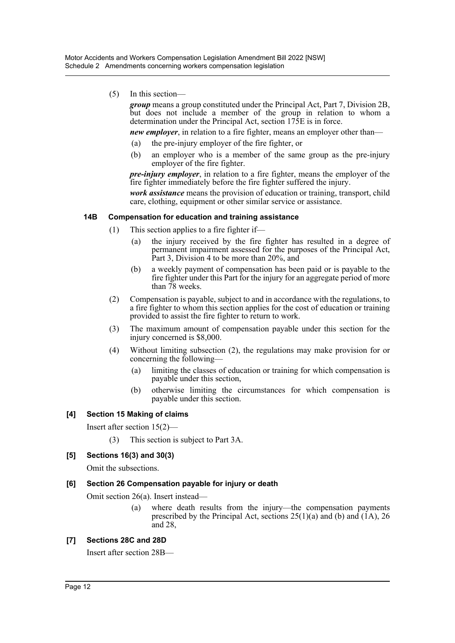(5) In this section—

*group* means a group constituted under the Principal Act, Part 7, Division 2B, but does not include a member of the group in relation to whom a determination under the Principal Act, section 175E is in force.

- *new employer*, in relation to a fire fighter, means an employer other than—
- (a) the pre-injury employer of the fire fighter, or
- (b) an employer who is a member of the same group as the pre-injury employer of the fire fighter.

*pre-injury employer*, in relation to a fire fighter, means the employer of the fire fighter immediately before the fire fighter suffered the injury.

*work assistance* means the provision of education or training, transport, child care, clothing, equipment or other similar service or assistance.

#### **14B Compensation for education and training assistance**

- (1) This section applies to a fire fighter if—
	- (a) the injury received by the fire fighter has resulted in a degree of permanent impairment assessed for the purposes of the Principal Act, Part 3, Division 4 to be more than 20%, and
	- (b) a weekly payment of compensation has been paid or is payable to the fire fighter under this Part for the injury for an aggregate period of more than 78 weeks.
- (2) Compensation is payable, subject to and in accordance with the regulations, to a fire fighter to whom this section applies for the cost of education or training provided to assist the fire fighter to return to work.
- (3) The maximum amount of compensation payable under this section for the injury concerned is \$8,000.
- (4) Without limiting subsection (2), the regulations may make provision for or concerning the following—
	- (a) limiting the classes of education or training for which compensation is payable under this section,
	- (b) otherwise limiting the circumstances for which compensation is payable under this section.

#### **[4] Section 15 Making of claims**

Insert after section 15(2)—

(3) This section is subject to Part 3A.

#### **[5] Sections 16(3) and 30(3)**

Omit the subsections.

#### **[6] Section 26 Compensation payable for injury or death**

Omit section 26(a). Insert instead—

(a) where death results from the injury—the compensation payments prescribed by the Principal Act, sections  $25(1)(a)$  and (b) and (1A), 26 and 28,

#### **[7] Sections 28C and 28D**

Insert after section 28B—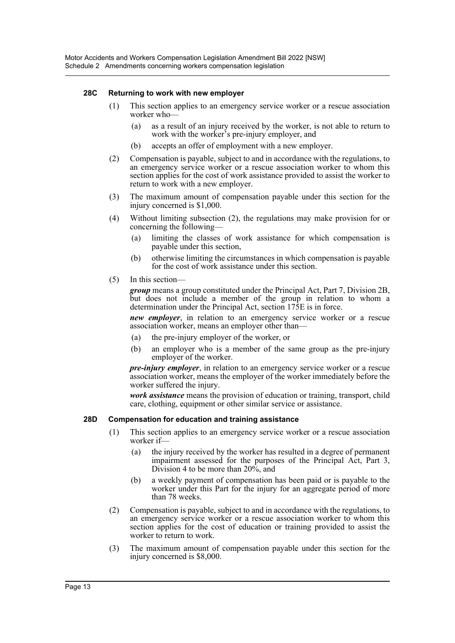#### **28C Returning to work with new employer**

- (1) This section applies to an emergency service worker or a rescue association worker who—
	- (a) as a result of an injury received by the worker, is not able to return to work with the worker's pre-injury employer, and
	- (b) accepts an offer of employment with a new employer.
- (2) Compensation is payable, subject to and in accordance with the regulations, to an emergency service worker or a rescue association worker to whom this section applies for the cost of work assistance provided to assist the worker to return to work with a new employer.
- (3) The maximum amount of compensation payable under this section for the injury concerned is \$1,000.
- (4) Without limiting subsection (2), the regulations may make provision for or concerning the following—
	- (a) limiting the classes of work assistance for which compensation is payable under this section,
	- (b) otherwise limiting the circumstances in which compensation is payable for the cost of work assistance under this section.
- (5) In this section—

*group* means a group constituted under the Principal Act, Part 7, Division 2B, but does not include a member of the group in relation to whom a determination under the Principal Act, section 175E is in force.

*new employer*, in relation to an emergency service worker or a rescue association worker, means an employer other than—

- (a) the pre-injury employer of the worker, or
- (b) an employer who is a member of the same group as the pre-injury employer of the worker.

*pre-injury employer*, in relation to an emergency service worker or a rescue association worker, means the employer of the worker immediately before the worker suffered the injury.

*work assistance* means the provision of education or training, transport, child care, clothing, equipment or other similar service or assistance.

#### **28D Compensation for education and training assistance**

- (1) This section applies to an emergency service worker or a rescue association worker if—
	- (a) the injury received by the worker has resulted in a degree of permanent impairment assessed for the purposes of the Principal Act, Part 3, Division 4 to be more than 20%, and
	- (b) a weekly payment of compensation has been paid or is payable to the worker under this Part for the injury for an aggregate period of more than 78 weeks.
- (2) Compensation is payable, subject to and in accordance with the regulations, to an emergency service worker or a rescue association worker to whom this section applies for the cost of education or training provided to assist the worker to return to work.
- (3) The maximum amount of compensation payable under this section for the injury concerned is \$8,000.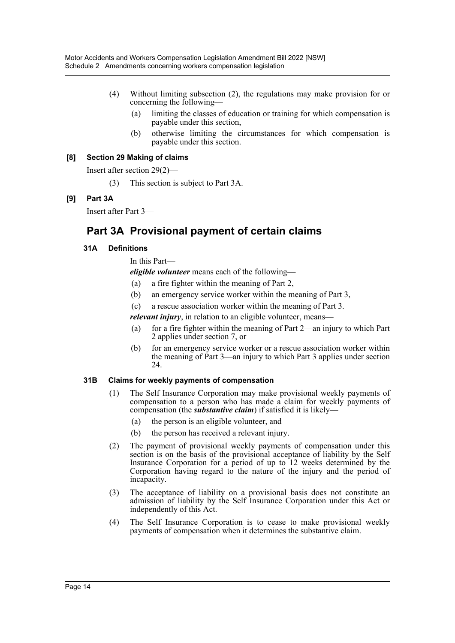- (4) Without limiting subsection (2), the regulations may make provision for or concerning the following—
	- (a) limiting the classes of education or training for which compensation is payable under this section,
	- (b) otherwise limiting the circumstances for which compensation is payable under this section.

#### **[8] Section 29 Making of claims**

Insert after section 29(2)—

(3) This section is subject to Part 3A.

# **[9] Part 3A**

Insert after Part 3—

# **Part 3A Provisional payment of certain claims**

#### **31A Definitions**

In this Part—

*eligible volunteer* means each of the following—

- (a) a fire fighter within the meaning of Part 2,
- (b) an emergency service worker within the meaning of Part 3,
- (c) a rescue association worker within the meaning of Part 3.

*relevant injury*, in relation to an eligible volunteer, means-

- (a) for a fire fighter within the meaning of Part 2—an injury to which Part 2 applies under section 7, or
- (b) for an emergency service worker or a rescue association worker within the meaning of Part 3—an injury to which Part 3 applies under section 24.

#### **31B Claims for weekly payments of compensation**

- (1) The Self Insurance Corporation may make provisional weekly payments of compensation to a person who has made a claim for weekly payments of compensation (the *substantive claim*) if satisfied it is likely—
	- (a) the person is an eligible volunteer, and
	- (b) the person has received a relevant injury.
- (2) The payment of provisional weekly payments of compensation under this section is on the basis of the provisional acceptance of liability by the Self Insurance Corporation for a period of up to 12 weeks determined by the Corporation having regard to the nature of the injury and the period of incapacity.
- (3) The acceptance of liability on a provisional basis does not constitute an admission of liability by the Self Insurance Corporation under this Act or independently of this Act.
- (4) The Self Insurance Corporation is to cease to make provisional weekly payments of compensation when it determines the substantive claim.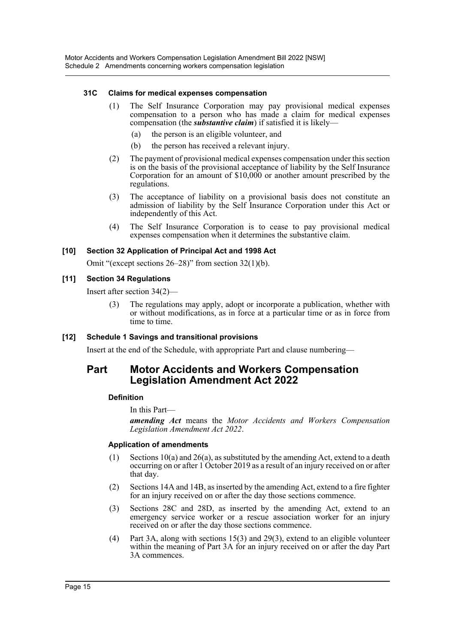#### **31C Claims for medical expenses compensation**

- (1) The Self Insurance Corporation may pay provisional medical expenses compensation to a person who has made a claim for medical expenses compensation (the *substantive claim*) if satisfied it is likely—
	- (a) the person is an eligible volunteer, and
	- (b) the person has received a relevant injury.
- (2) The payment of provisional medical expenses compensation under this section is on the basis of the provisional acceptance of liability by the Self Insurance Corporation for an amount of \$10,000 or another amount prescribed by the regulations.
- (3) The acceptance of liability on a provisional basis does not constitute an admission of liability by the Self Insurance Corporation under this Act or independently of this Act.
- (4) The Self Insurance Corporation is to cease to pay provisional medical expenses compensation when it determines the substantive claim.

#### **[10] Section 32 Application of Principal Act and 1998 Act**

Omit "(except sections 26–28)" from section 32(1)(b).

#### **[11] Section 34 Regulations**

Insert after section 34(2)—

(3) The regulations may apply, adopt or incorporate a publication, whether with or without modifications, as in force at a particular time or as in force from time to time.

# **[12] Schedule 1 Savings and transitional provisions**

Insert at the end of the Schedule, with appropriate Part and clause numbering—

# **Part Motor Accidents and Workers Compensation Legislation Amendment Act 2022**

# **Definition**

In this Part—

*amending Act* means the *Motor Accidents and Workers Compensation Legislation Amendment Act 2022*.

#### **Application of amendments**

- (1) Sections 10(a) and 26(a), as substituted by the amending Act, extend to a death occurring on or after 1 October 2019 as a result of an injury received on or after that day.
- (2) Sections 14A and 14B, as inserted by the amending Act, extend to a fire fighter for an injury received on or after the day those sections commence.
- (3) Sections 28C and 28D, as inserted by the amending Act, extend to an emergency service worker or a rescue association worker for an injury received on or after the day those sections commence.
- (4) Part 3A, along with sections 15(3) and 29(3), extend to an eligible volunteer within the meaning of Part 3A for an injury received on or after the day Part 3A commences.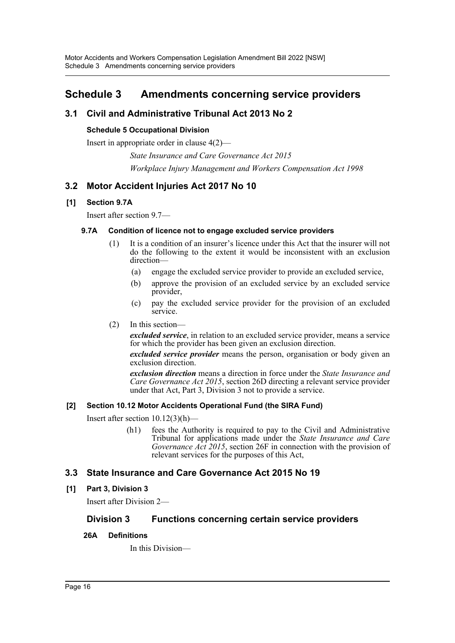# <span id="page-16-0"></span>**Schedule 3 Amendments concerning service providers**

# **3.1 Civil and Administrative Tribunal Act 2013 No 2**

# **Schedule 5 Occupational Division**

Insert in appropriate order in clause 4(2)—

*State Insurance and Care Governance Act 2015 Workplace Injury Management and Workers Compensation Act 1998*

# **3.2 Motor Accident Injuries Act 2017 No 10**

# **[1] Section 9.7A**

Insert after section 9.7—

#### **9.7A Condition of licence not to engage excluded service providers**

- (1) It is a condition of an insurer's licence under this Act that the insurer will not do the following to the extent it would be inconsistent with an exclusion direction—
	- (a) engage the excluded service provider to provide an excluded service,
	- (b) approve the provision of an excluded service by an excluded service provider,
	- (c) pay the excluded service provider for the provision of an excluded service.
- (2) In this section—

*excluded service*, in relation to an excluded service provider, means a service for which the provider has been given an exclusion direction.

*excluded service provider* means the person, organisation or body given an exclusion direction.

*exclusion direction* means a direction in force under the *State Insurance and Care Governance Act 2015*, section 26D directing a relevant service provider under that Act, Part 3, Division 3 not to provide a service.

# **[2] Section 10.12 Motor Accidents Operational Fund (the SIRA Fund)**

Insert after section 10.12(3)(h)—

(h1) fees the Authority is required to pay to the Civil and Administrative Tribunal for applications made under the *State Insurance and Care Governance Act 2015*, section 26F in connection with the provision of relevant services for the purposes of this Act,

# **3.3 State Insurance and Care Governance Act 2015 No 19**

# **[1] Part 3, Division 3**

Insert after Division 2—

# **Division 3 Functions concerning certain service providers**

#### **26A Definitions**

In this Division—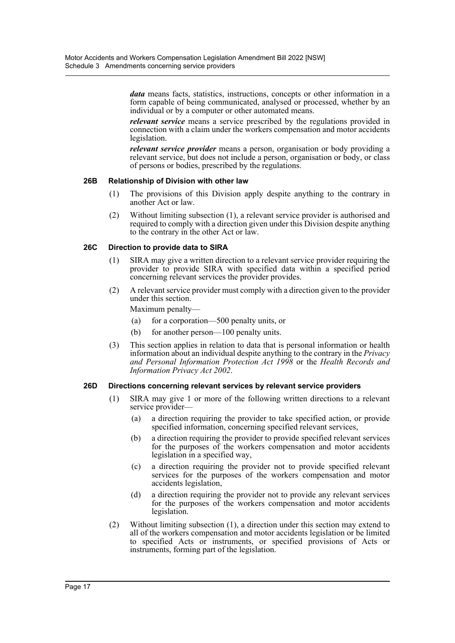*data* means facts, statistics, instructions, concepts or other information in a form capable of being communicated, analysed or processed, whether by an individual or by a computer or other automated means.

*relevant service* means a service prescribed by the regulations provided in connection with a claim under the workers compensation and motor accidents legislation.

*relevant service provider* means a person, organisation or body providing a relevant service, but does not include a person, organisation or body, or class of persons or bodies, prescribed by the regulations.

#### **26B Relationship of Division with other law**

- (1) The provisions of this Division apply despite anything to the contrary in another Act or law.
- (2) Without limiting subsection (1), a relevant service provider is authorised and required to comply with a direction given under this Division despite anything to the contrary in the other Act or law.

#### **26C Direction to provide data to SIRA**

- (1) SIRA may give a written direction to a relevant service provider requiring the provider to provide SIRA with specified data within a specified period concerning relevant services the provider provides.
- (2) A relevant service provider must comply with a direction given to the provider under this section.

Maximum penalty—

- (a) for a corporation—500 penalty units, or
- (b) for another person—100 penalty units.
- (3) This section applies in relation to data that is personal information or health information about an individual despite anything to the contrary in the *Privacy and Personal Information Protection Act 1998* or the *Health Records and Information Privacy Act 2002*.

#### **26D Directions concerning relevant services by relevant service providers**

- (1) SIRA may give 1 or more of the following written directions to a relevant service provider—
	- (a) a direction requiring the provider to take specified action, or provide specified information, concerning specified relevant services,
	- (b) a direction requiring the provider to provide specified relevant services for the purposes of the workers compensation and motor accidents legislation in a specified way,
	- (c) a direction requiring the provider not to provide specified relevant services for the purposes of the workers compensation and motor accidents legislation,
	- (d) a direction requiring the provider not to provide any relevant services for the purposes of the workers compensation and motor accidents legislation.
- (2) Without limiting subsection (1), a direction under this section may extend to all of the workers compensation and motor accidents legislation or be limited to specified Acts or instruments, or specified provisions of Acts or instruments, forming part of the legislation.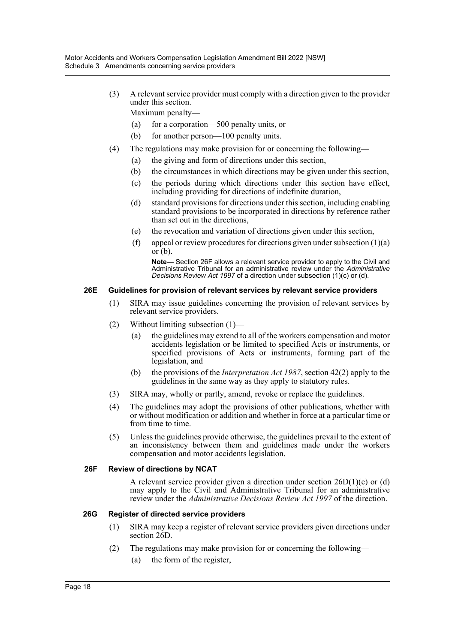(3) A relevant service provider must comply with a direction given to the provider under this section.

Maximum penalty—

- (a) for a corporation—500 penalty units, or
- (b) for another person—100 penalty units.
- (4) The regulations may make provision for or concerning the following—
	- (a) the giving and form of directions under this section,
	- (b) the circumstances in which directions may be given under this section,
	- (c) the periods during which directions under this section have effect, including providing for directions of indefinite duration,
	- (d) standard provisions for directions under this section, including enabling standard provisions to be incorporated in directions by reference rather than set out in the directions,
	- (e) the revocation and variation of directions given under this section,
	- (f) appeal or review procedures for directions given under subsection  $(1)(a)$  $\overline{\text{or } }$  $(b)$ .

**Note—** Section 26F allows a relevant service provider to apply to the Civil and Administrative Tribunal for an administrative review under the *Administrative Decisions Review Act 1997* of a direction under subsection (1)(c) or (d).

#### **26E Guidelines for provision of relevant services by relevant service providers**

- (1) SIRA may issue guidelines concerning the provision of relevant services by relevant service providers.
- (2) Without limiting subsection (1)—
	- (a) the guidelines may extend to all of the workers compensation and motor accidents legislation or be limited to specified Acts or instruments, or specified provisions of Acts or instruments, forming part of the legislation, and
	- (b) the provisions of the *Interpretation Act 1987*, section 42(2) apply to the guidelines in the same way as they apply to statutory rules.
- (3) SIRA may, wholly or partly, amend, revoke or replace the guidelines.
- (4) The guidelines may adopt the provisions of other publications, whether with or without modification or addition and whether in force at a particular time or from time to time.
- (5) Unless the guidelines provide otherwise, the guidelines prevail to the extent of an inconsistency between them and guidelines made under the workers compensation and motor accidents legislation.

#### **26F Review of directions by NCAT**

A relevant service provider given a direction under section 26D(1)(c) or (d) may apply to the Civil and Administrative Tribunal for an administrative review under the *Administrative Decisions Review Act 1997* of the direction.

#### **26G Register of directed service providers**

- (1) SIRA may keep a register of relevant service providers given directions under section 26D.
- (2) The regulations may make provision for or concerning the following— (a) the form of the register,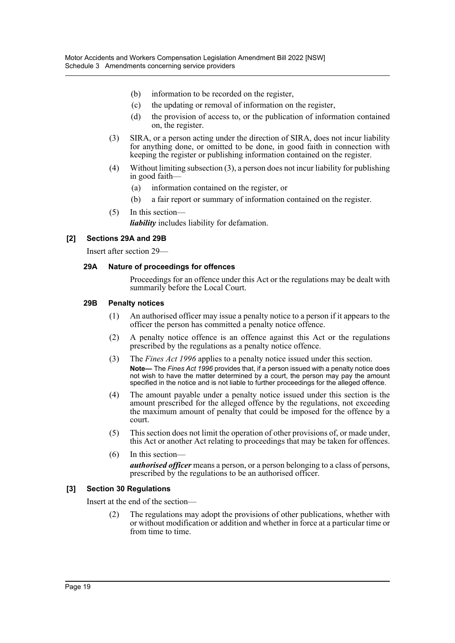- (b) information to be recorded on the register,
- (c) the updating or removal of information on the register,
- (d) the provision of access to, or the publication of information contained on, the register.
- (3) SIRA, or a person acting under the direction of SIRA, does not incur liability for anything done, or omitted to be done, in good faith in connection with keeping the register or publishing information contained on the register.
- (4) Without limiting subsection (3), a person does not incur liability for publishing in good faith—
	- (a) information contained on the register, or
	- (b) a fair report or summary of information contained on the register.
- (5) In this section—

*liability* includes liability for defamation.

# **[2] Sections 29A and 29B**

Insert after section 29—

#### **29A Nature of proceedings for offences**

Proceedings for an offence under this Act or the regulations may be dealt with summarily before the Local Court.

#### **29B Penalty notices**

- (1) An authorised officer may issue a penalty notice to a person if it appears to the officer the person has committed a penalty notice offence.
- (2) A penalty notice offence is an offence against this Act or the regulations prescribed by the regulations as a penalty notice offence.
- (3) The *Fines Act 1996* applies to a penalty notice issued under this section. **Note—** The *Fines Act 1996* provides that, if a person issued with a penalty notice does not wish to have the matter determined by a court, the person may pay the amount specified in the notice and is not liable to further proceedings for the alleged offence.
- (4) The amount payable under a penalty notice issued under this section is the amount prescribed for the alleged offence by the regulations, not exceeding the maximum amount of penalty that could be imposed for the offence by a court.
- (5) This section does not limit the operation of other provisions of, or made under, this Act or another Act relating to proceedings that may be taken for offences.
- (6) In this section *authorised officer* means a person, or a person belonging to a class of persons, prescribed by the regulations to be an authorised officer.

# **[3] Section 30 Regulations**

Insert at the end of the section—

(2) The regulations may adopt the provisions of other publications, whether with or without modification or addition and whether in force at a particular time or from time to time.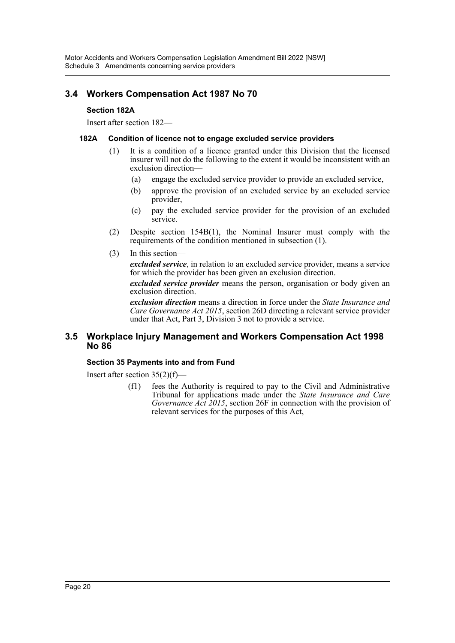# **3.4 Workers Compensation Act 1987 No 70**

# **Section 182A**

Insert after section 182—

### **182A Condition of licence not to engage excluded service providers**

- (1) It is a condition of a licence granted under this Division that the licensed insurer will not do the following to the extent it would be inconsistent with an exclusion direction—
	- (a) engage the excluded service provider to provide an excluded service,
	- (b) approve the provision of an excluded service by an excluded service provider,
	- (c) pay the excluded service provider for the provision of an excluded service.
- (2) Despite section 154B(1), the Nominal Insurer must comply with the requirements of the condition mentioned in subsection (1).
- (3) In this section—

*excluded service*, in relation to an excluded service provider, means a service for which the provider has been given an exclusion direction.

*excluded service provider* means the person, organisation or body given an exclusion direction.

*exclusion direction* means a direction in force under the *State Insurance and Care Governance Act 2015*, section 26D directing a relevant service provider under that Act, Part 3, Division 3 not to provide a service.

# **3.5 Workplace Injury Management and Workers Compensation Act 1998 No 86**

# **Section 35 Payments into and from Fund**

Insert after section 35(2)(f)—

(f1) fees the Authority is required to pay to the Civil and Administrative Tribunal for applications made under the *State Insurance and Care Governance Act 2015*, section 26F in connection with the provision of relevant services for the purposes of this Act,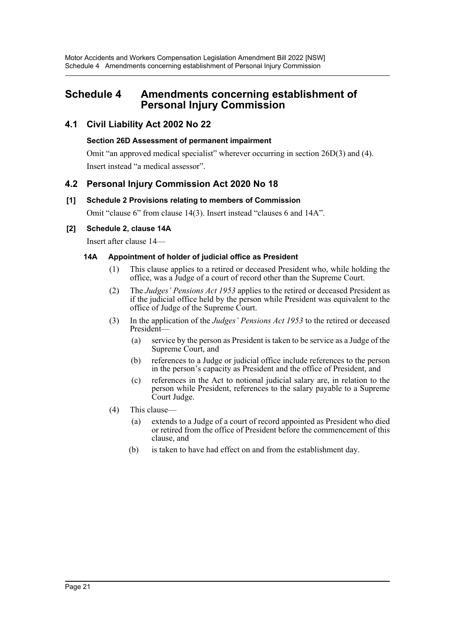# <span id="page-21-0"></span>**Schedule 4 Amendments concerning establishment of Personal Injury Commission**

# **4.1 Civil Liability Act 2002 No 22**

# **Section 26D Assessment of permanent impairment**

Omit "an approved medical specialist" wherever occurring in section 26D(3) and (4). Insert instead "a medical assessor".

# **4.2 Personal Injury Commission Act 2020 No 18**

# **[1] Schedule 2 Provisions relating to members of Commission**

Omit "clause 6" from clause 14(3). Insert instead "clauses 6 and 14A".

# **[2] Schedule 2, clause 14A**

Insert after clause 14—

# **14A Appointment of holder of judicial office as President**

- (1) This clause applies to a retired or deceased President who, while holding the office, was a Judge of a court of record other than the Supreme Court.
- (2) The *Judges' Pensions Act 1953* applies to the retired or deceased President as if the judicial office held by the person while President was equivalent to the office of Judge of the Supreme Court.
- (3) In the application of the *Judges' Pensions Act 1953* to the retired or deceased President—
	- (a) service by the person as President is taken to be service as a Judge of the Supreme Court, and
	- (b) references to a Judge or judicial office include references to the person in the person's capacity as President and the office of President, and
	- (c) references in the Act to notional judicial salary are, in relation to the person while President, references to the salary payable to a Supreme Court Judge.
- (4) This clause—
	- (a) extends to a Judge of a court of record appointed as President who died or retired from the office of President before the commencement of this clause, and
	- (b) is taken to have had effect on and from the establishment day.